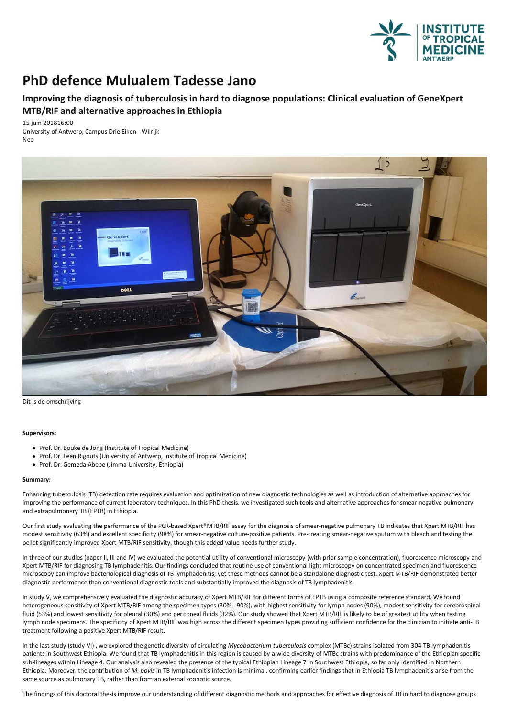

## **PhD defence Mulualem Tadesse Jano**

## **Improvingthe diagnosis of tuberculosis in hard to diagnose populations: Clinical evaluation of GeneXpert MTB/RIF and alternative approaches in Ethiopia**

15 juin 201816:00 University of Antwerp, Campus Drie Eiken - Wilrijk Nee



Dit is de omschrijving

## **Supervisors:**

- Prof. Dr. Bouke de Jong (Institute of Tropical Medicine)
- Prof. Dr. Leen Rigouts (University of Antwerp, Institute of Tropical Medicine)
- Prof. Dr. Gemeda Abebe (Jimma University, Ethiopia)

## **Summary:**

Enhancing tuberculosis (TB) detection rate requires evaluation and optimization of new diagnostic technologies as well as introduction of alternative approaches for improving the performance of current laboratory techniques. In this PhD thesis, we investigated such tools and alternative approaches for smear-negative pulmonary and extrapulmonary TB (EPTB) in Ethiopia.

Our first study evaluating the performance of the PCR-based Xpert®MTB/RIF assay for the diagnosis of smear-negative pulmonary TB indicates that Xpert MTB/RIF has<br>modest sensitivity (63%) and excellent specificity (98%) for pellet significantly improved Xpert MTB/RIF sensitivity, though this added value needs further study.

In three of our studies (paper II, III and IV) we evaluated the potential utility of conventional microscopy (with prior sample concentration), fluorescence microscopy and fluorescence microscopy and fluorescence XDert MTB microscopy can improve bacteriological diagnosis of TB lymphadenitis; yet these methods cannot be a standalone diagnostic test. Xpert MTB/RIF demonstrated better diagnostic performance than conventional diagnostic toolsand substantially improved the diagnosis ofTB lymphadenitis.

In study V, we comprehensively evaluated the diagnostic accuracy of Xpert MTB/RIF for different forms of EPTB using a composite reference standard. We found heterogeneous sensitivity of Xpert MTB/RIF among the specimen types (30% - 90%), with highest sensitivity for lymph nodes (90%), modest sensitivity for cerebrospinal fluid (53%) and lowest sensitivity for pleural (30%) and peritoneal fluids (32%). Our study showed that Xpert MTB/RIF is likely to be of greatest utility when testing lymph node specimens.The specificity of Xpert MTB/RIF was high across the different specimen types providing sufficient confidence for the clinician to initiate anti-TB treatment followinga positive Xpert MTB/RIF result.

In the last study (study VI) , we explored the genetic diversity of circulating *Mycobacterium tuberculosis* complex (MTBc) strains isolated from 304 TB lymphadenitis patients in Southwest Ethiopia. We found that TB lymphadenitis in this region is caused by a wide diversity of MTBc strains with predominance of the Ethiopian specific sub-lineages within Lineage 4. Our analysis also revealed the presence of the typical Ethiopian Lineage 7 in Southwest Ethiopia, so far only identified in Northern Ethiopia. Moreover, the contribution of *M. bovis* in TB lymphadenitis infection is minimal, confirming earlier findings that in Ethiopia TB lymphadenitis arise from the same source as pulmonary TB, rather than from an external zoonotic source.

The findings of this doctoral thesis improve our understanding of different diagnostic methods and approaches for effective diagnosis of TB in hard to diagnose groups